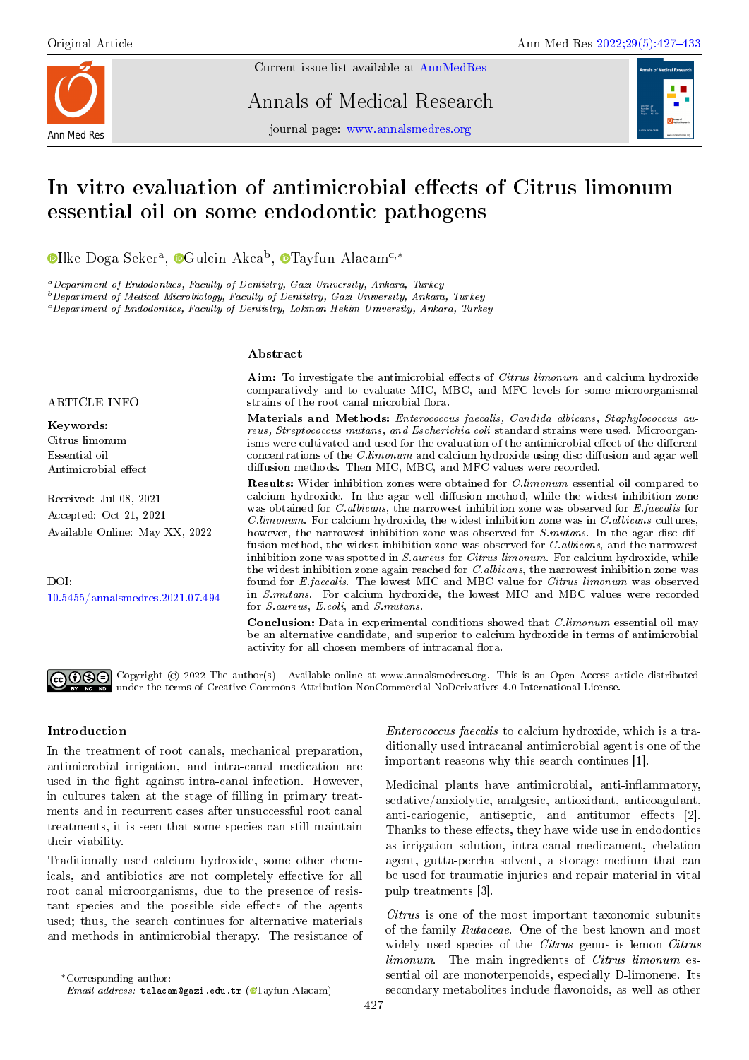

Current issue list available at [AnnMedRes](https://annalsmedres.org/index.php/aomr/issue/view/163)

Annals of Medical Research

journal page: [www.annalsmedres.org](https://www.annalsmedres.org)



# In vitro evaluation of antimicrobial effects of Citrus limonum essential oil on some endodontic pathogens

[I](https://orcid.org/0000-0001-9531-240X)lke Doga Seker<sup>a</sup>, <sup>o</sup>[G](https://orcid.org/0000-0002-8877-4144)ulcin Akca<sup>b</sup>, o[T](https://orcid.org/0000-0002-1456-0223)ayfun Alacam<sup>c,∗</sup>

<sup>a</sup>Department of Endodontics, Faculty of Dentistry, Gazi University, Ankara, Turkey

 $b$  Department of Medical Microbiology, Faculty of Dentistry, Gazi University, Ankara, Turkey

 $\epsilon$  Department of Endodontics, Faculty of Dentistry, Lokman Hekim University, Ankara, Turkey

#### Abstract

ARTICLE INFO

Keywords: Citrus limonum Essential oil Antimicrobial effect

Received: Jul 08, 2021 Accepted: Oct 21, 2021 Available Online: May XX, 2022

DOI: [10.5455/annalsmedres.2021.07.494](https://doi.org/10.5455/annalsmedres.2021.07.494) Aim: To investigate the antimicrobial effects of Citrus limonum and calcium hydroxide comparatively and to evaluate MIC, MBC, and MFC levels for some microorganismal strains of the root canal microbial flora.

Materials and Methods: Enterococcus faecalis, Candida albicans, Staphylococcus aureus, Streptococcus mutans, and Escherichia coli standard strains were used. Microorganisms were cultivated and used for the evaluation of the antimicrobial effect of the different concentrations of the  $C.limonum$  and calcium hydroxide using disc diffusion and agar well diffusion methods. Then MIC, MBC, and MFC values were recorded.

Results: Wider inhibition zones were obtained for C.limonum essential oil compared to calcium hydroxide. In the agar well diffusion method, while the widest inhibition zone was obtained for *C. albicans*, the narrowest inhibition zone was observed for *E. faecalis* for  $C.limonum$ . For calcium hydroxide, the widest inhibition zone was in  $C.albicas$  cultures, however, the narrowest inhibition zone was observed for *S.mutans*. In the agar disc diffusion method, the widest inhibition zone was observed for *C.albicans*, and the narrowest inhibition zone was spotted in S.aureus for Citrus limonum. For calcium hydroxide, while the widest inhibition zone again reached for *C.albicans*, the narrowest inhibition zone was found for E.faecalis. The lowest MIC and MBC value for Citrus limonum was observed in S.mutans. For calcium hydroxide, the lowest MIC and MBC values were recorded for S.aureus, E.coli, and S.mutans.

Conclusion: Data in experimental conditions showed that C.limonum essential oil may be an alternative candidate, and superior to calcium hydroxide in terms of antimicrobial activity for all chosen members of intracanal flora.

Copyright © 2022 The author(s) - Available online at www.annalsmedres.org. This is an Open Access article distributed under the terms of Creative Commons Attribution-NonCommercial-NoDerivatives 4.0 International License.

## Introduction

In the treatment of root canals, mechanical preparation, antimicrobial irrigation, and intra-canal medication are used in the fight against intra-canal infection. However, in cultures taken at the stage of filling in primary treatments and in recurrent cases after unsuccessful root canal treatments, it is seen that some species can still maintain their viability.

Traditionally used calcium hydroxide, some other chemicals, and antibiotics are not completely effective for all root canal microorganisms, due to the presence of resistant species and the possible side effects of the agents used; thus, the search continues for alternative materials and methods in antimicrobial therapy. The resistance of

<sup>∗</sup>Corresponding author:

Enterococcus faecalis to calcium hydroxide, which is a traditionally used intracanal antimicrobial agent is one of the important reasons why this search continues [1].

Medicinal plants have antimicrobial, anti-inflammatory, sedative/anxiolytic, analgesic, antioxidant, anticoagulant, anti-cariogenic, antiseptic, and antitumor effects  $[2]$ . Thanks to these effects, they have wide use in endodontics as irrigation solution, intra-canal medicament, chelation agent, gutta-percha solvent, a storage medium that can be used for traumatic injuries and repair material in vital pulp treatments [3].

Citrus is one of the most important taxonomic subunits of the family Rutaceae. One of the best-known and most widely used species of the *Citrus* genus is lemon-*Citrus* limonum. The main ingredients of Citrus limonum essential oil are monoterpenoids, especially D-limonene. Its secondary metabolites include flavonoids, as well as other

 $Email \;address: \;{}$ talacam@gazi.edu.tr (@[T](https://orcid.org/0000-0002-1456-0223)ayfun Alacam)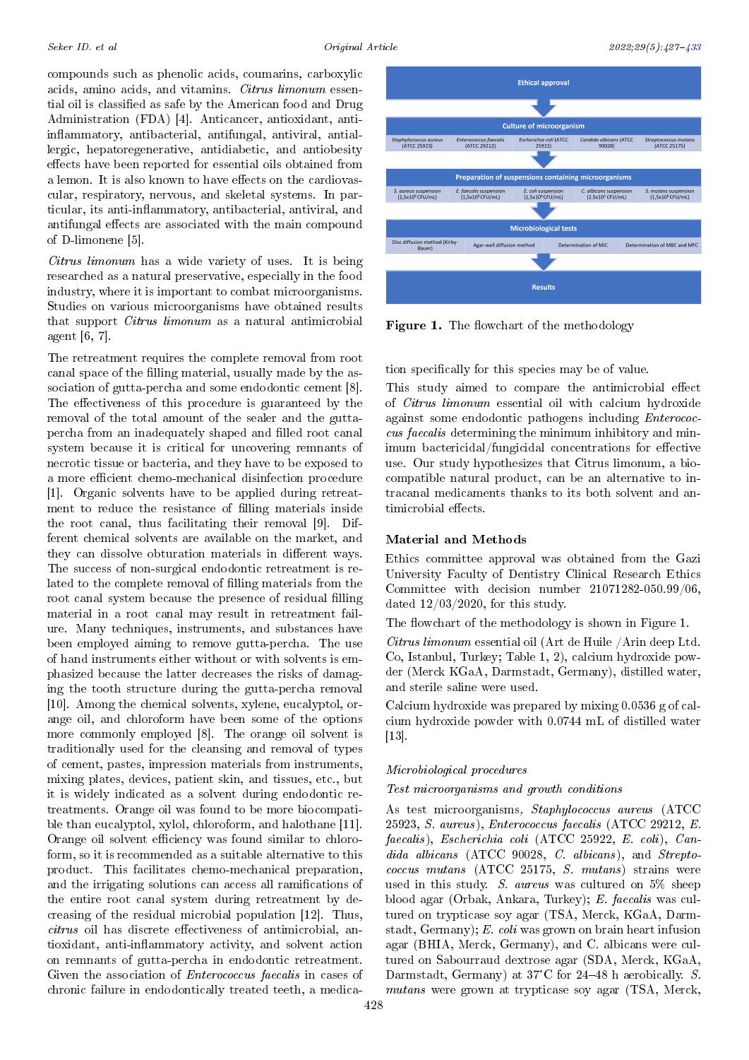compounds such as phenolic acids, coumarins, carboxylic acids, amino acids, and vitamins. Citrus limonum essential oil is classified as safe by the American food and Drug Administration (FDA) [4]. Anticancer, antioxidant, antiinflammatory, antibacterial, antifungal, antiviral, antiallergic, hepatoregenerative, antidiabetic, and antiobesity effects have been reported for essential oils obtained from a lemon. It is also known to have effects on the cardiovascular, respiratory, nervous, and skeletal systems. In particular, its anti-inflammatory, antibacterial, antiviral, and antifungal effects are associated with the main compound of D-limonene [5].

Citrus limonum has a wide variety of uses. It is being researched as a natural preservative, especially in the food industry, where it is important to combat microorganisms. Studies on various microorganisms have obtained results that support Citrus limonum as a natural antimicrobial agent [6, 7].

The retreatment requires the complete removal from root canal space of the filling material, usually made by the association of gutta-percha and some endodontic cement [8]. The effectiveness of this procedure is guaranteed by the removal of the total amount of the sealer and the guttapercha from an inadequately shaped and filled root canal system because it is critical for uncovering remnants of necrotic tissue or bacteria, and they have to be exposed to a more efficient chemo-mechanical disinfection procedure [1]. Organic solvents have to be applied during retreatment to reduce the resistance of filling materials inside the root canal, thus facilitating their removal [9]. Different chemical solvents are available on the market, and they can dissolve obturation materials in different ways. The success of non-surgical endodontic retreatment is related to the complete removal of filling materials from the root canal system because the presence of residual filling material in a root canal may result in retreatment failure. Many techniques, instruments, and substances have been employed aiming to remove gutta-percha. The use of hand instruments either without or with solvents is emphasized because the latter decreases the risks of damaging the tooth structure during the gutta-percha removal [10]. Among the chemical solvents, xylene, eucalyptol, orange oil, and chloroform have been some of the options more commonly employed [8]. The orange oil solvent is traditionally used for the cleansing and removal of types of cement, pastes, impression materials from instruments, mixing plates, devices, patient skin, and tissues, etc., but it is widely indicated as a solvent during endodontic retreatments. Orange oil was found to be more biocompatible than eucalyptol, xylol, chloroform, and halothane [11]. Orange oil solvent efficiency was found similar to chloroform, so it is recommended as a suitable alternative to this product. This facilitates chemo-mechanical preparation, and the irrigating solutions can access all ramifications of the entire root canal system during retreatment by decreasing of the residual microbial population [12]. Thus,  $citrus$  oil has discrete effectiveness of antimicrobial, antioxidant, anti-inflammatory activity, and solvent action on remnants of gutta-percha in endodontic retreatment. Given the association of Enterococcus faecalis in cases of chronic failure in endodontically treated teeth, a medica-



Figure 1. The flowchart of the methodology

tion specifically for this species may be of value.

This study aimed to compare the antimicrobial effect of Citrus limonum essential oil with calcium hydroxide against some endodontic pathogens including Enterococcus faecalis determining the minimum inhibitory and minimum bactericidal/fungicidal concentrations for effective use. Our study hypothesizes that Citrus limonum, a biocompatible natural product, can be an alternative to intracanal medicaments thanks to its both solvent and antimicrobial effects.

## Material and Methods

Ethics committee approval was obtained from the Gazi University Faculty of Dentistry Clinical Research Ethics Committee with decision number 21071282-050.99/06, dated  $12/03/2020$ , for this study.

The flowchart of the methodology is shown in Figure 1.

Citrus limonum essential oil (Art de Huile /Arin deep Ltd. Co, Istanbul, Turkey; Table 1, 2), calcium hydroxide powder (Merck KGaA, Darmstadt, Germany), distilled water, and sterile saline were used.

Calcium hydroxide was prepared by mixing 0.0536 g of calcium hydroxide powder with 0.0744 mL of distilled water  $[13]$ .

## Microbiological procedures

Test microorganisms and growth conditions

As test microorganisms, Staphylococcus aureus (ATCC 25923, S. aureus), Enterococcus faecalis (ATCC 29212, E. faecalis), Escherichia coli (ATCC 25922, E. coli), Candida albicans (ATCC 90028, C. albicans), and Streptococcus mutans (ATCC 25175, S. mutans) strains were used in this study. S. aureus was cultured on 5% sheep blood agar (Orbak, Ankara, Turkey); E. faecalis was cultured on trypticase soy agar (TSA, Merck, KGaA, Darmstadt, Germany); E. coli was grown on brain heart infusion agar (BHIA, Merck, Germany), and C. albicans were cultured on Sabourraud dextrose agar (SDA, Merck, KGaA, Darmstadt, Germany) at 37°C for 24–48 h aerobically. S. mutans were grown at trypticase soy agar (TSA, Merck,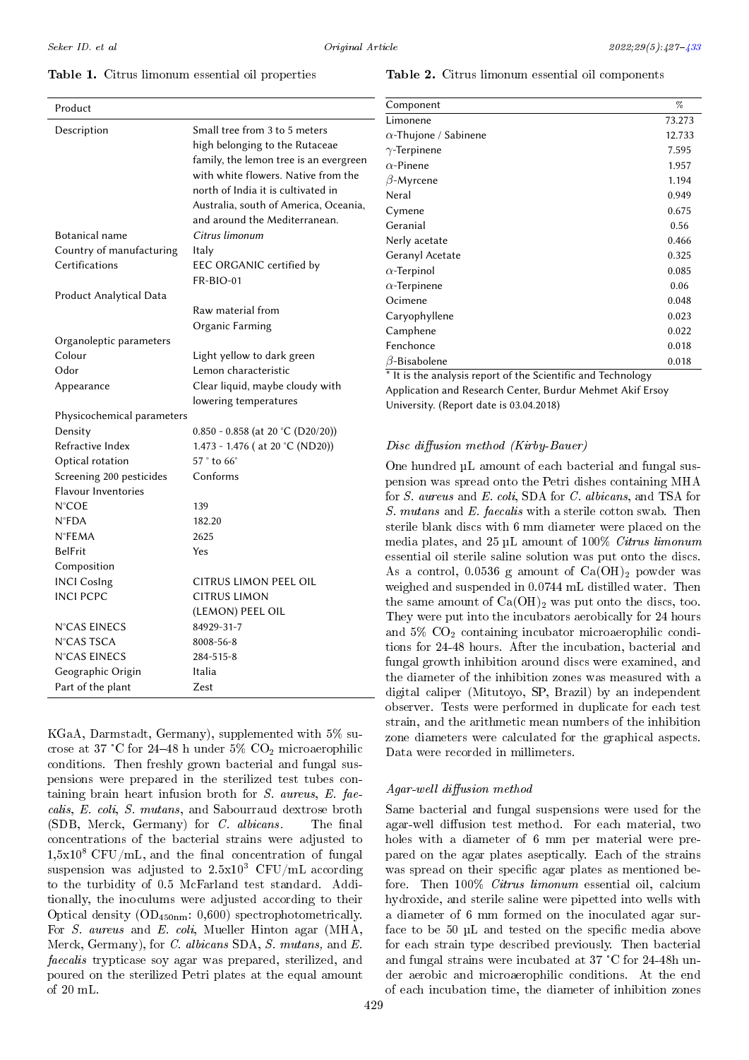## Table 1. Citrus limonum essential oil properties

| Product                                             |                                                    |  |
|-----------------------------------------------------|----------------------------------------------------|--|
| Description                                         | Small tree from 3 to 5 meters                      |  |
|                                                     | high belonging to the Rutaceae                     |  |
|                                                     | family, the lemon tree is an evergreen             |  |
|                                                     | with white flowers. Native from the                |  |
|                                                     | north of India it is cultivated in                 |  |
|                                                     | Australia, south of America, Oceania,              |  |
|                                                     | and around the Mediterranean.                      |  |
| Botanical name                                      | Citrus limonum                                     |  |
| Country of manufacturing                            | Italy                                              |  |
| Certifications                                      | EEC ORGANIC certified by                           |  |
|                                                     | <b>FR-BIO-01</b>                                   |  |
| Product Analytical Data                             |                                                    |  |
|                                                     | Raw material from                                  |  |
|                                                     | Organic Farming                                    |  |
| Organoleptic parameters<br>Colour                   |                                                    |  |
| Odor                                                | Light yellow to dark green<br>Lemon characteristic |  |
|                                                     |                                                    |  |
| Appearance                                          | Clear liquid, maybe cloudy with                    |  |
| lowering temperatures<br>Physicochemical parameters |                                                    |  |
| Density                                             | $0.850 - 0.858$ (at 20 °C (D20/20))                |  |
| Refractive Index                                    | 1.473 - 1.476 ( at 20 °C (ND20))                   |  |
| Optical rotation                                    | $57°$ to $66°$                                     |  |
| Screening 200 pesticides                            | Conforms                                           |  |
| <b>Flavour Inventories</b>                          |                                                    |  |
| <b>N°COE</b>                                        | 139                                                |  |
| $N$ <sup>o</sup> $FDA$                              | 182.20                                             |  |
| <b>N°FEMA</b>                                       | 2625                                               |  |
| <b>BelFrit</b>                                      | Yes                                                |  |
| Composition                                         |                                                    |  |
| <b>INCI Cosing</b>                                  | CITRUS LIMON PEEL OIL                              |  |
| <b>INCI PCPC</b>                                    | <b>CITRUS LIMON</b>                                |  |
|                                                     | (LEMON) PEEL OIL                                   |  |
| N°CAS EINECS                                        | 84929-31-7                                         |  |
| N°CAS TSCA                                          | 8008-56-8                                          |  |
| N°CAS EINECS                                        | 284-515-8                                          |  |
| Geographic Origin                                   | Italia                                             |  |
| Part of the plant                                   | Zest                                               |  |

KGaA, Darmstadt, Germany), supplemented with 5% sucrose at 37 °C for 24-48 h under 5%  $CO<sub>2</sub>$  microaerophilic conditions. Then freshly grown bacterial and fungal suspensions were prepared in the sterilized test tubes containing brain heart infusion broth for S. aureus, E. faecalis, E. coli, S. mutans, and Sabourraud dextrose broth  $(SDB, Merck, Germany)$  for *C. albicans.* The final concentrations of the bacterial strains were adjusted to  $1,5x10^8$  CFU/mL, and the final concentration of fungal suspension was adjusted to  $2.5x10^3$  CFU/mL according to the turbidity of 0.5 McFarland test standard. Additionally, the inoculums were adjusted according to their Optical density (OD450nm: 0,600) spectrophotometrically. For S. aureus and E. coli, Mueller Hinton agar (MHA, Merck, Germany), for C. albicans SDA, S. mutans, and E. faecalis trypticase soy agar was prepared, sterilized, and poured on the sterilized Petri plates at the equal amount of 20 mL.

#### Table 2. Citrus limonum essential oil components

| Component                                                                                                                                                                                                                                                                                                                                                                                              | %      |
|--------------------------------------------------------------------------------------------------------------------------------------------------------------------------------------------------------------------------------------------------------------------------------------------------------------------------------------------------------------------------------------------------------|--------|
| Limonene                                                                                                                                                                                                                                                                                                                                                                                               | 73.273 |
| $\alpha$ -Thujone / Sabinene                                                                                                                                                                                                                                                                                                                                                                           | 12.733 |
| $\gamma$ -Terpinene                                                                                                                                                                                                                                                                                                                                                                                    | 7.595  |
| $\alpha$ -Pinene                                                                                                                                                                                                                                                                                                                                                                                       | 1.957  |
| $\beta$ -Myrcene                                                                                                                                                                                                                                                                                                                                                                                       | 1.194  |
| Neral                                                                                                                                                                                                                                                                                                                                                                                                  | 0.949  |
| Cymene                                                                                                                                                                                                                                                                                                                                                                                                 | 0.675  |
| Geranial                                                                                                                                                                                                                                                                                                                                                                                               | 0.56   |
| Nerly acetate                                                                                                                                                                                                                                                                                                                                                                                          | 0.466  |
| Geranyl Acetate                                                                                                                                                                                                                                                                                                                                                                                        | 0.325  |
| $\alpha$ -Terpinol                                                                                                                                                                                                                                                                                                                                                                                     | 0.085  |
| $\alpha$ -Terpinene                                                                                                                                                                                                                                                                                                                                                                                    | 0.06   |
| Ocimene                                                                                                                                                                                                                                                                                                                                                                                                | 0.048  |
| Caryophyllene                                                                                                                                                                                                                                                                                                                                                                                          | 0.023  |
| Camphene                                                                                                                                                                                                                                                                                                                                                                                               | 0.022  |
| Fenchonce                                                                                                                                                                                                                                                                                                                                                                                              | 0.018  |
| $\beta$ -Bisabolene                                                                                                                                                                                                                                                                                                                                                                                    | 0.018  |
| $\mathcal{L}$ $\mathcal{L}$ at $\mathcal{L}$ $\mathcal{L}$ $\mathcal{L}$ $\mathcal{L}$ $\mathcal{L}$ $\mathcal{L}$ $\mathcal{L}$ $\mathcal{L}$ $\mathcal{L}$ $\mathcal{L}$ $\mathcal{L}$ $\mathcal{L}$ $\mathcal{L}$ $\mathcal{L}$ $\mathcal{L}$ $\mathcal{L}$ $\mathcal{L}$ $\mathcal{L}$ $\mathcal{L}$ $\mathcal{L}$ $\mathcal{L}$ $\mathcal{L}$ $\$<br>$1 - 1$<br>$\blacksquare$<br>$*$ 1. $*$ 1. 1 |        |

It is the analysis report of the Scientific and Technology Application and Research Center, Burdur Mehmet Akif Ersoy University. (Report date is 03.04.2018)

# $Disc\ diffusion\ method\ (Kirby-Bauer)$

One hundred µL amount of each bacterial and fungal suspension was spread onto the Petri dishes containing MHA for S. aureus and E. coli, SDA for C. albicans, and TSA for S. mutans and E. faecalis with a sterile cotton swab. Then sterile blank discs with 6 mm diameter were placed on the media plates, and 25 µL amount of 100% Citrus limonum essential oil sterile saline solution was put onto the discs. As a control, 0.0536 g amount of  $Ca(OH)_2$  powder was weighed and suspended in 0.0744 mL distilled water. Then the same amount of  $Ca(OH)_2$  was put onto the discs, too. They were put into the incubators aerobically for 24 hours and  $5\%$  CO<sub>2</sub> containing incubator microaerophilic conditions for 24-48 hours. After the incubation, bacterial and fungal growth inhibition around discs were examined, and the diameter of the inhibition zones was measured with a digital caliper (Mitutoyo, SP, Brazil) by an independent observer. Tests were performed in duplicate for each test strain, and the arithmetic mean numbers of the inhibition zone diameters were calculated for the graphical aspects. Data were recorded in millimeters.

# $A\text{g}$ ar-well diffusion method

Same bacterial and fungal suspensions were used for the agar-well diffusion test method. For each material, two holes with a diameter of 6 mm per material were prepared on the agar plates aseptically. Each of the strains was spread on their specific agar plates as mentioned before. Then 100% Citrus limonum essential oil, calcium hydroxide, and sterile saline were pipetted into wells with a diameter of 6 mm formed on the inoculated agar surface to be  $50 \mu L$  and tested on the specific media above for each strain type described previously. Then bacterial and fungal strains were incubated at 37 °C for 24-48h under aerobic and microaerophilic conditions. At the end of each incubation time, the diameter of inhibition zones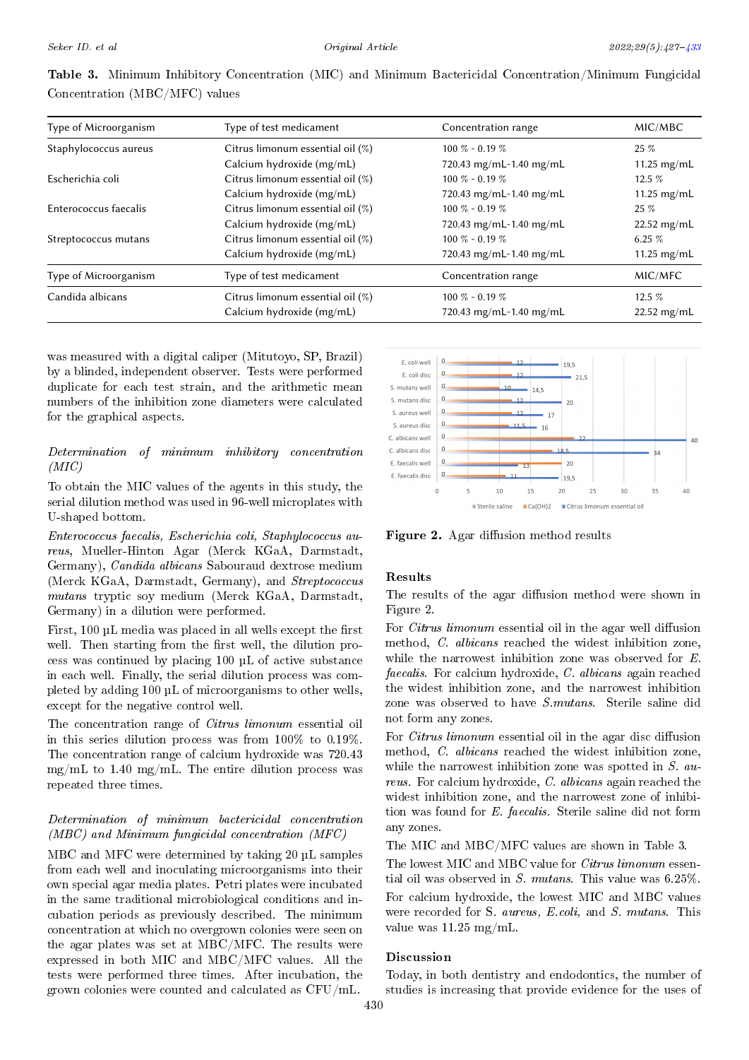| Type of Microorganism | Type of test medicament          | Concentration range     | MIC/MBC               |
|-----------------------|----------------------------------|-------------------------|-----------------------|
| Staphylococcus aureus | Citrus limonum essential oil (%) | $100\% - 0.19\%$        | $25 \%$               |
|                       | Calcium hydroxide (mg/mL)        | 720.43 mg/mL-1.40 mg/mL | 11.25 $mg/mL$         |
| Escherichia coli      | Citrus limonum essential oil (%) | $100\% - 0.19\%$        | 12.5 $%$              |
|                       | Calcium hydroxide (mg/mL)        | 720.43 mg/mL-1.40 mg/mL | 11.25 $mg/mL$         |
| Enterococcus faecalis | Citrus limonum essential oil (%) | $100\% - 0.19\%$        | $25 \%$               |
|                       | Calcium hydroxide (mg/mL)        | 720.43 mg/mL-1.40 mg/mL | $22.52 \text{ mg/mL}$ |
| Streptococcus mutans  | Citrus limonum essential oil (%) | $100\% - 0.19\%$        | 6.25 $%$              |
|                       | Calcium hydroxide (mg/mL)        | 720.43 mg/mL-1.40 mg/mL | 11.25 $mg/mL$         |
| Type of Microorganism | Type of test medicament          | Concentration range     | MIC/MFC               |
| Candida albicans      | Citrus limonum essential oil (%) | $100\% - 0.19\%$        | $12.5\%$              |
|                       | Calcium hydroxide (mg/mL)        | 720.43 mg/mL-1.40 mg/mL | $22.52$ mg/mL         |

Table 3. Minimum Inhibitory Concentration (MIC) and Minimum Bactericidal Concentration/Minimum Fungicidal Concentration (MBC/MFC) values

was measured with a digital caliper (Mitutoyo, SP, Brazil) by a blinded, independent observer. Tests were performed duplicate for each test strain, and the arithmetic mean numbers of the inhibition zone diameters were calculated for the graphical aspects.

# Determination of minimum inhibitory concentration  $(MIC)$

To obtain the MIC values of the agents in this study, the serial dilution method was used in 96-well microplates with U-shaped bottom.

Enterococcus faecalis, Escherichia coli, Staphylococcus aureus, Mueller-Hinton Agar (Merck KGaA, Darmstadt, Germany), Candida albicans Sabouraud dextrose medium (Merck KGaA, Darmstadt, Germany), and Streptococcus mutans tryptic soy medium (Merck KGaA, Darmstadt, Germany) in a dilution were performed.

First,  $100 \mu L$  media was placed in all wells except the first well. Then starting from the first well, the dilution process was continued by placing 100 µL of active substance in each well. Finally, the serial dilution process was completed by adding 100 µL of microorganisms to other wells, except for the negative control well.

The concentration range of Citrus limonum essential oil in this series dilution process was from 100% to 0.19%. The concentration range of calcium hydroxide was 720.43  $mg/mL$  to 1.40 mg/mL. The entire dilution process was repeated three times.

# Determination of minimum bactericidal concentration (MBC) and Minimum fungicidal concentration (MFC)

MBC and MFC were determined by taking 20 µL samples from each well and inoculating microorganisms into their own special agar media plates. Petri plates were incubated in the same traditional microbiological conditions and incubation periods as previously described. The minimum concentration at which no overgrown colonies were seen on the agar plates was set at MBC/MFC. The results were expressed in both MIC and MBC/MFC values. All the tests were performed three times. After incubation, the grown colonies were counted and calculated as CFU/mL.

<span id="page-3-0"></span>

Figure 2. Agar diffusion method results

# Results

The results of the agar diffusion method were shown in Figure 2.

For *Citrus limonum* essential oil in the agar well diffusion method, C. albicans reached the widest inhibition zone, while the narrowest inhibition zone was observed for E. faecalis. For calcium hydroxide, C. albicans again reached the widest inhibition zone, and the narrowest inhibition zone was observed to have S.mutans. Sterile saline did not form any zones.

For Citrus limonum essential oil in the agar disc diffusion method, C. albicans reached the widest inhibition zone, while the narrowest inhibition zone was spotted in S. aureus. For calcium hydroxide, C. albicans again reached the widest inhibition zone, and the narrowest zone of inhibition was found for E. faecalis. Sterile saline did not form any zones.

The MIC and MBC/MFC values are shown in Table 3.

The lowest MIC and MBC value for *Citrus limonum* essential oil was observed in S. mutans. This value was 6.25%. For calcium hydroxide, the lowest MIC and MBC values were recorded for S. aureus, E.coli, and S. mutans. This value was 11.25 mg/mL.

# Discussion

Today, in both dentistry and endodontics, the number of studies is increasing that provide evidence for the uses of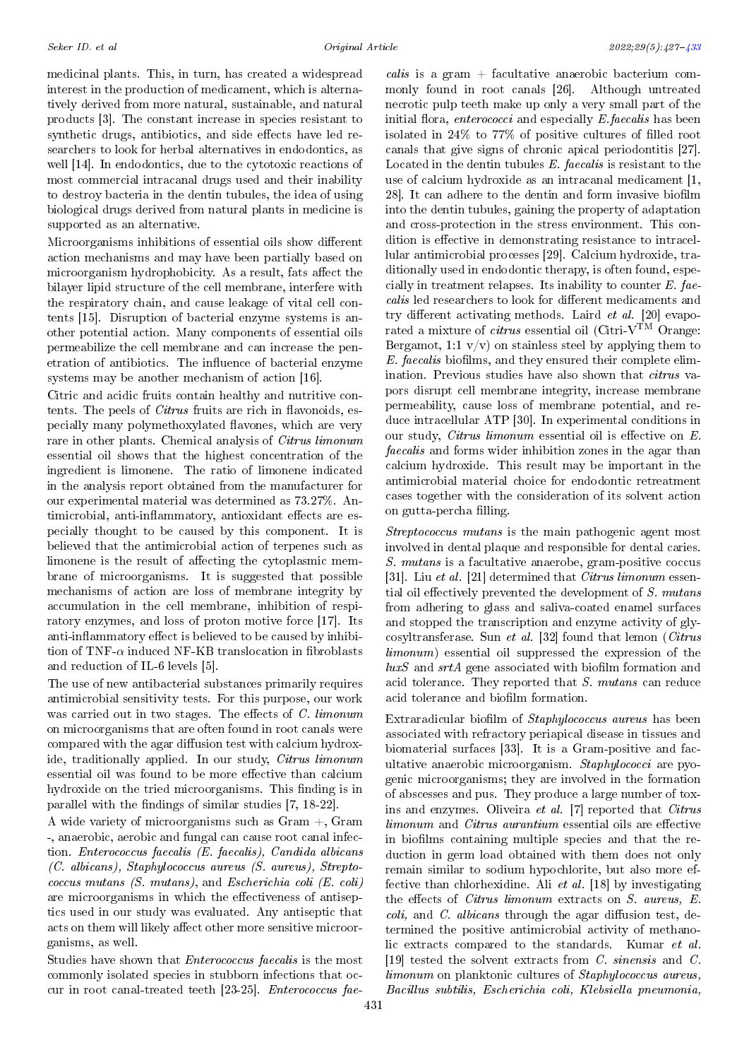medicinal plants. This, in turn, has created a widespread interest in the production of medicament, which is alternatively derived from more natural, sustainable, and natural products [3]. The constant increase in species resistant to synthetic drugs, antibiotics, and side effects have led researchers to look for herbal alternatives in endodontics, as well [14]. In endodontics, due to the cytotoxic reactions of most commercial intracanal drugs used and their inability to destroy bacteria in the dentin tubules, the idea of using biological drugs derived from natural plants in medicine is supported as an alternative.

Microorganisms inhibitions of essential oils show different action mechanisms and may have been partially based on microorganism hydrophobicity. As a result, fats affect the bilayer lipid structure of the cell membrane, interfere with the respiratory chain, and cause leakage of vital cell contents [15]. Disruption of bacterial enzyme systems is another potential action. Many components of essential oils permeabilize the cell membrane and can increase the penetration of antibiotics. The influence of bacterial enzyme systems may be another mechanism of action [16].

Citric and acidic fruits contain healthy and nutritive contents. The peels of *Citrus* fruits are rich in flavonoids, especially many polymethoxylated flavones, which are very rare in other plants. Chemical analysis of Citrus limonum essential oil shows that the highest concentration of the ingredient is limonene. The ratio of limonene indicated in the analysis report obtained from the manufacturer for our experimental material was determined as 73.27%. Antimicrobial, anti-inflammatory, antioxidant effects are especially thought to be caused by this component. It is believed that the antimicrobial action of terpenes such as limonene is the result of affecting the cytoplasmic membrane of microorganisms. It is suggested that possible mechanisms of action are loss of membrane integrity by accumulation in the cell membrane, inhibition of respiratory enzymes, and loss of proton motive force [17]. Its anti-inflammatory effect is believed to be caused by inhibition of TNF- $\alpha$  induced NF-KB translocation in fibroblasts and reduction of IL-6 levels [5].

The use of new antibacterial substances primarily requires antimicrobial sensitivity tests. For this purpose, our work was carried out in two stages. The effects of  $C$ .  $limonum$ on microorganisms that are often found in root canals were compared with the agar diffusion test with calcium hydroxide, traditionally applied. In our study, *Citrus limonum* essential oil was found to be more effective than calcium hydroxide on the tried microorganisms. This finding is in parallel with the findings of similar studies  $[7, 18-22]$ .

A wide variety of microorganisms such as Gram +, Gram -, anaerobic, aerobic and fungal can cause root canal infection. Enterococcus faecalis (E. faecalis), Candida albicans (C. albicans), Staphylococcus aureus (S. aureus), Streptococcus mutans (S. mutans), and Escherichia coli (E. coli) are microorganisms in which the effectiveness of antiseptics used in our study was evaluated. Any antiseptic that acts on them will likely affect other more sensitive microorganisms, as well.

Studies have shown that Enterococcus faecalis is the most commonly isolated species in stubborn infections that occur in root canal-treated teeth [23-25]. Enterococcus fae-

calis is a gram + facultative anaerobic bacterium commonly found in root canals [26]. Although untreated necrotic pulp teeth make up only a very small part of the initial flora, *enterococci* and especially  $E$  *faecalis* has been isolated in  $24\%$  to  $77\%$  of positive cultures of filled root canals that give signs of chronic apical periodontitis [27]. Located in the dentin tubules E. faecalis is resistant to the use of calcium hydroxide as an intracanal medicament [1, 28]. It can adhere to the dentin and form invasive biofilm into the dentin tubules, gaining the property of adaptation and cross-protection in the stress environment. This condition is effective in demonstrating resistance to intracellular antimicrobial processes [29]. Calcium hydroxide, traditionally used in endodontic therapy, is often found, especially in treatment relapses. Its inability to counter E. faecalis led researchers to look for different medicaments and try different activating methods. Laird  $et \ al.$  [20] evaporated a mixture of  $\emph{citrus}$  essential oil (Citri-V $\emph{TM}$  Orange: Bergamot, 1:1  $v/v$  on stainless steel by applying them to  $E.$  faecalis biofilms, and they ensured their complete elimination. Previous studies have also shown that *citrus* vapors disrupt cell membrane integrity, increase membrane permeability, cause loss of membrane potential, and reduce intracellular ATP [30]. In experimental conditions in our study, Citrus limonum essential oil is effective on  $E$ . faecalis and forms wider inhibition zones in the agar than calcium hydroxide. This result may be important in the antimicrobial material choice for endodontic retreatment cases together with the consideration of its solvent action on gutta-percha filling.

Streptococcus mutans is the main pathogenic agent most involved in dental plaque and responsible for dental caries. S. mutans is a facultative anaerobe, gram-positive coccus [31]. Liu et al. [21] determined that *Citrus limonum* essential oil effectively prevented the development of  $S.$  mutans from adhering to glass and saliva-coated enamel surfaces and stopped the transcription and enzyme activity of glycosyltransferase. Sun et al. [32] found that lemon (Citrus limonum) essential oil suppressed the expression of the  $luxS$  and  $srtA$  gene associated with biofilm formation and acid tolerance. They reported that S. mutans can reduce acid tolerance and biofilm formation.

Extraradicular biofilm of *Staphylococcus aureus* has been associated with refractory periapical disease in tissues and biomaterial surfaces [33]. It is a Gram-positive and facultative anaerobic microorganism. Staphylococci are pyogenic microorganisms; they are involved in the formation of abscesses and pus. They produce a large number of toxins and enzymes. Oliveira et al. [7] reported that Citrus  $limonum$  and  $Citrus$   $aurantium$  essential oils are effective in biofilms containing multiple species and that the reduction in germ load obtained with them does not only remain similar to sodium hypochlorite, but also more effective than chlorhexidine. Ali et al. [18] by investigating the effects of *Citrus limonum* extracts on *S. aureus*, *E.*  $\text{coli}, \text{ and } C. \text{ \textit{albicans}}$  through the agar diffusion test, determined the positive antimicrobial activity of methanolic extracts compared to the standards. Kumar et al. [19] tested the solvent extracts from C. sinensis and C. limonum on planktonic cultures of Staphylococcus aureus, Bacillus subtilis, Escherichia coli, Klebsiella pneumonia,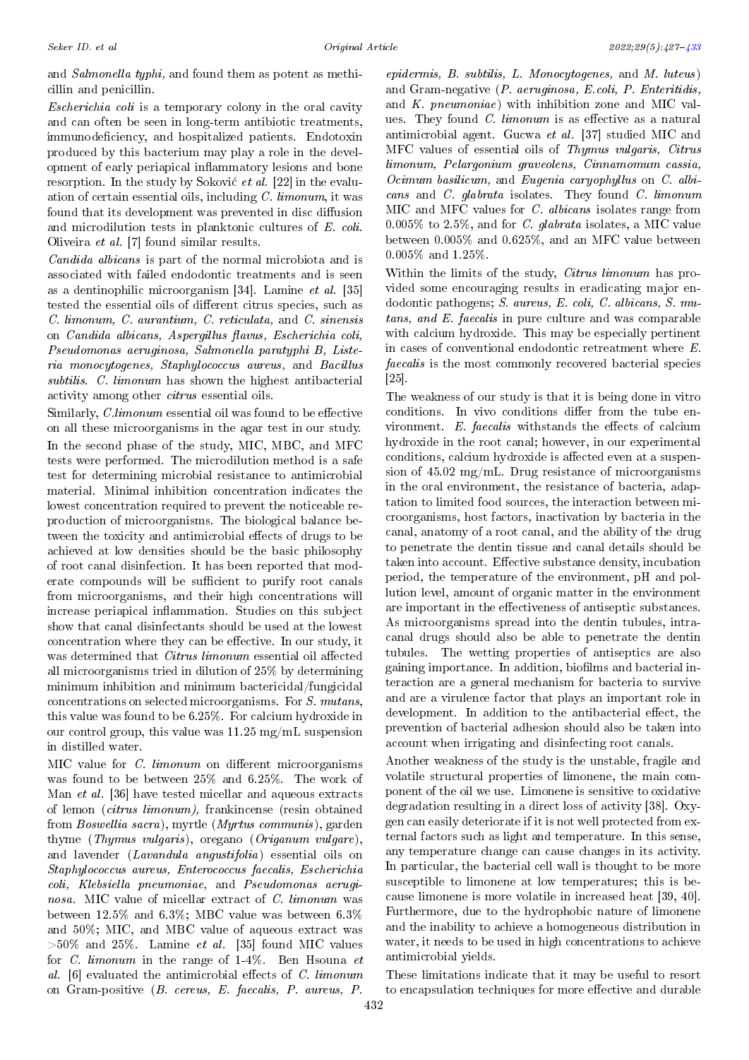and Salmonella typhi, and found them as potent as methicillin and penicillin.

Escherichia coli is a temporary colony in the oral cavity and can often be seen in long-term antibiotic treatments, immunodeficiency, and hospitalized patients. Endotoxin produced by this bacterium may play a role in the development of early periapical inflammatory lesions and bone resorption. In the study by Soković et al. [22] in the evaluation of certain essential oils, including C. limonum, it was found that its development was prevented in disc diffusion and microdilution tests in planktonic cultures of E. coli. Oliveira et al. [7] found similar results.

Candida albicans is part of the normal microbiota and is associated with failed endodontic treatments and is seen as a dentinophilic microorganism [34]. Lamine et al. [35] tested the essential oils of different citrus species, such as C. limonum, C. aurantium, C. reticulata, and C. sinensis on Candida albicans, Aspergillus flavus, Escherichia coli, Pseudomonas aeruginosa, Salmonella paratyphi B, Listeria monocytogenes, Staphylococcus aureus, and Bacillus subtilis. C. limonum has shown the highest antibacterial activity among other citrus essential oils.

Similarly, *C.limonum* essential oil was found to be effective on all these microorganisms in the agar test in our study. In the second phase of the study, MIC, MBC, and MFC tests were performed. The microdilution method is a safe test for determining microbial resistance to antimicrobial material. Minimal inhibition concentration indicates the lowest concentration required to prevent the noticeable reproduction of microorganisms. The biological balance between the toxicity and antimicrobial effects of drugs to be achieved at low densities should be the basic philosophy of root canal disinfection. It has been reported that moderate compounds will be sufficient to purify root canals from microorganisms, and their high concentrations will increase periapical inflammation. Studies on this subject show that canal disinfectants should be used at the lowest concentration where they can be effective. In our study, it was determined that *Citrus limonum* essential oil affected all microorganisms tried in dilution of 25% by determining minimum inhibition and minimum bactericidal/fungicidal concentrations on selected microorganisms. For S. mutans, this value was found to be 6.25%. For calcium hydroxide in our control group, this value was 11.25 mg/mL suspension in distilled water.

MIC value for  $C.$  limonum on different microorganisms was found to be between 25% and 6.25%. The work of Man et al. [36] have tested micellar and aqueous extracts of lemon (citrus limonum), frankincense (resin obtained from Boswellia sacra), myrtle (Myrtus communis), garden thyme (Thymus vulgaris), oregano (Origanum vulgare), and lavender (Lavandula angustifolia) essential oils on Staphylococcus aureus, Enterococcus faecalis, Escherichia coli, Klebsiella pneumoniae, and Pseudomonas aeruginosa. MIC value of micellar extract of C. limonum was between 12.5% and 6.3%; MBC value was between 6.3% and 50%; MIC, and MBC value of aqueous extract was  $>50\%$  and 25%. Lamine *et al.* [35] found MIC values for C. limonum in the range of  $1-4\%$ . Ben Hsouna et al.  $[6]$  evaluated the antimicrobial effects of C. limonum on Gram-positive (B. cereus, E. faecalis, P. aureus, P.

epidermis, B. subtilis, L. Monocytogenes, and M. luteus) and Gram-negative (P. aeruginosa, E.coli, P. Enteritidis, and K. pneumoniae) with inhibition zone and MIC values. They found  $C.$  limonum is as effective as a natural antimicrobial agent. Gucwa et al. [37] studied MIC and MFC values of essential oils of Thymus vulgaris, Citrus limonum, Pelargonium graveolens, Cinnamomum cassia, Ocimum basilicum, and Eugenia caryophyllus on C. albicans and C. glabrata isolates. They found C. limonum MIC and MFC values for C. albicans isolates range from  $0.005\%$  to  $2.5\%$ , and for C. glabrata isolates, a MIC value between 0.005% and 0.625%, and an MFC value between 0.005% and 1.25%.

Within the limits of the study, *Citrus limonum* has provided some encouraging results in eradicating major endodontic pathogens; S. aureus, E. coli, C. albicans, S. mutans, and E. faecalis in pure culture and was comparable with calcium hydroxide. This may be especially pertinent in cases of conventional endodontic retreatment where E. faecalis is the most commonly recovered bacterial species [25].

The weakness of our study is that it is being done in vitro conditions. In vivo conditions differ from the tube environment.  $E$ . faecalis withstands the effects of calcium hydroxide in the root canal; however, in our experimental conditions, calcium hydroxide is affected even at a suspension of 45.02 mg/mL. Drug resistance of microorganisms in the oral environment, the resistance of bacteria, adaptation to limited food sources, the interaction between microorganisms, host factors, inactivation by bacteria in the canal, anatomy of a root canal, and the ability of the drug to penetrate the dentin tissue and canal details should be taken into account. Effective substance density, incubation period, the temperature of the environment, pH and pollution level, amount of organic matter in the environment are important in the effectiveness of antiseptic substances. As microorganisms spread into the dentin tubules, intracanal drugs should also be able to penetrate the dentin tubules. The wetting properties of antiseptics are also gaining importance. In addition, biofilms and bacterial interaction are a general mechanism for bacteria to survive and are a virulence factor that plays an important role in development. In addition to the antibacterial effect, the prevention of bacterial adhesion should also be taken into account when irrigating and disinfecting root canals.

Another weakness of the study is the unstable, fragile and volatile structural properties of limonene, the main component of the oil we use. Limonene is sensitive to oxidative degradation resulting in a direct loss of activity [38]. Oxygen can easily deteriorate if it is not well protected from external factors such as light and temperature. In this sense, any temperature change can cause changes in its activity. In particular, the bacterial cell wall is thought to be more susceptible to limonene at low temperatures; this is because limonene is more volatile in increased heat [39, 40]. Furthermore, due to the hydrophobic nature of limonene and the inability to achieve a homogeneous distribution in water, it needs to be used in high concentrations to achieve antimicrobial yields.

These limitations indicate that it may be useful to resort to encapsulation techniques for more effective and durable